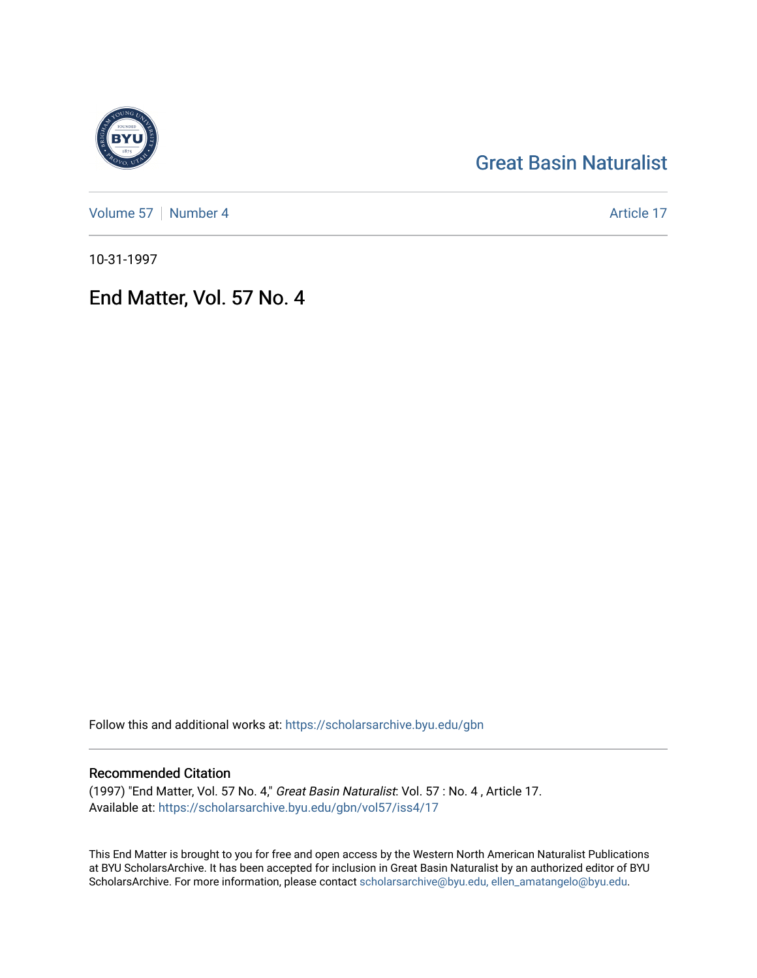## [Great Basin Naturalist](https://scholarsarchive.byu.edu/gbn)

[Volume 57](https://scholarsarchive.byu.edu/gbn/vol57) | [Number 4](https://scholarsarchive.byu.edu/gbn/vol57/iss4) Article 17

10-31-1997

End Matter, Vol. 57 No. 4

Follow this and additional works at: [https://scholarsarchive.byu.edu/gbn](https://scholarsarchive.byu.edu/gbn?utm_source=scholarsarchive.byu.edu%2Fgbn%2Fvol57%2Fiss4%2F17&utm_medium=PDF&utm_campaign=PDFCoverPages) 

### Recommended Citation

(1997) "End Matter, Vol. 57 No. 4," Great Basin Naturalist: Vol. 57 : No. 4 , Article 17. Available at: [https://scholarsarchive.byu.edu/gbn/vol57/iss4/17](https://scholarsarchive.byu.edu/gbn/vol57/iss4/17?utm_source=scholarsarchive.byu.edu%2Fgbn%2Fvol57%2Fiss4%2F17&utm_medium=PDF&utm_campaign=PDFCoverPages) 

This End Matter is brought to you for free and open access by the Western North American Naturalist Publications at BYU ScholarsArchive. It has been accepted for inclusion in Great Basin Naturalist by an authorized editor of BYU ScholarsArchive. For more information, please contact [scholarsarchive@byu.edu, ellen\\_amatangelo@byu.edu.](mailto:scholarsarchive@byu.edu,%20ellen_amatangelo@byu.edu)

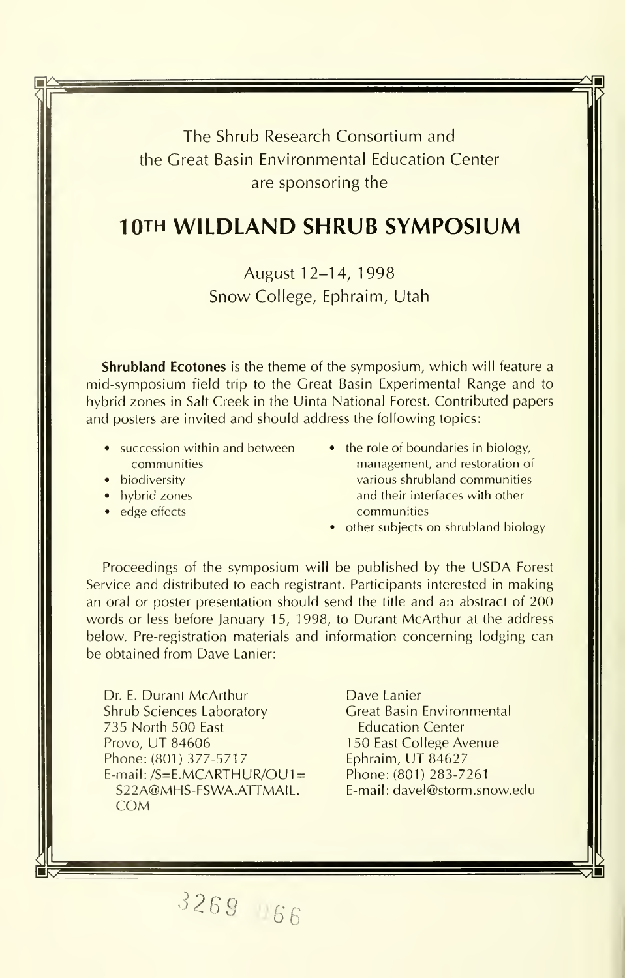The Shrub Research Consortium and the Great Basin Environmental Education Center are sponsoring the

### 10TH WILDLAND SHRUB SYMPOSIUM

August 12-14, 1998 Snow College, Ephraim, Utah

**Shrubland Ecotones** is the theme of the symposium, which will feature a mid-symposium field trip to the Great Basin Experimental Range and to hybrid zones in Salt Creek in the Uinta National Forest. Contributed papers and posters are invited and should address the following topics:

- succession within and between communities
- biodiversity
- hybrid zones
- edge effects

 $\mathbf{K}$ 

- the role of boundaries in biology, management, and restoration of various shrubland communities and their interfaces with other communities
- other subjects on shrubland biology

Proceedings of the symposium will be published by the USDA Forest Service and distributed to each registrant. Participants interested in making an oral or poster presentation should send the title and an abstract of 200 words or less before January 15, 1998, to Durant McArthur at the address below. Pre-registration materials and information concerning lodging can be obtained from Dave Lanier:

Dr. E. Durant McArthur Shrub Sciences Laboratory 735 North 500 East Provo, UT 84606 Phone: (801) 377-5717 E-mail: /S=E.MCARTHUR/OU1= S22A@MHS-FSWA.ATTMAIL. COM

Dave Lanier Great Basin Environmental Education Center <sup>1</sup> 50 East College Avenue Ephraim, UT 84627 Phone: (801) 283-7261 E-mail: davel@storm.snow.edu

'^269 '166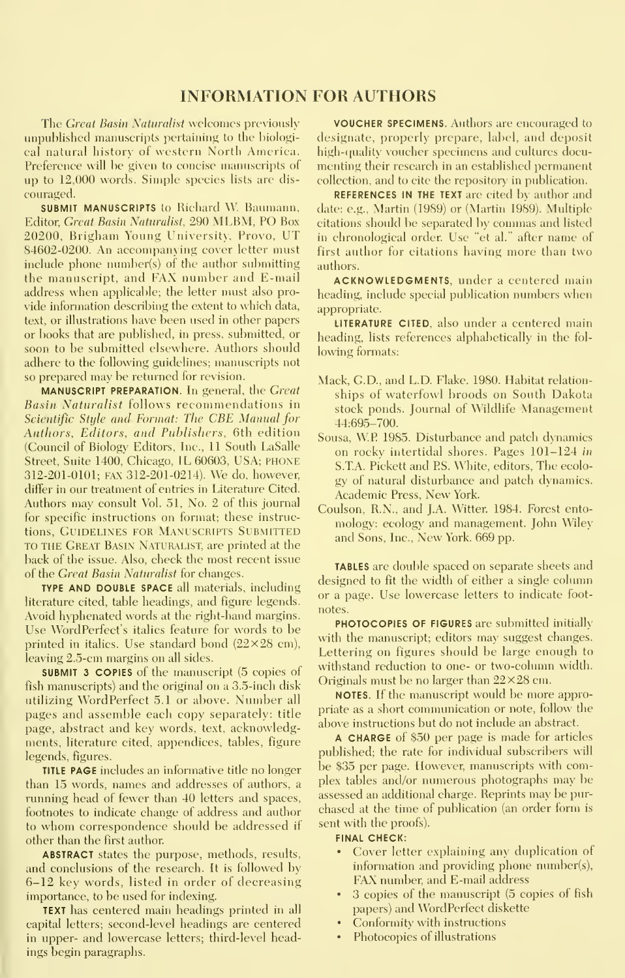#### INFORMATION FOR AUTHORS

The Great Basin Naturalist welcomes previously unpublished manuscripts pertaining to the biologi cal natural history of western North America. Preference will be given to concise manuscripts of up to 12,000 words. Simple species lists are dis couraged.

SUBMIT MANUSCRIPTS to Richard W. Baumann, Editor, Great Basin Naturalist, 290 MLBM, PO Box 20200, Brigham Young University, Provo, UT 84602-0200. An accompanying cover letter must include phone number(s) of the author submitting the manuscript, and FAX number and E-mail address when applicable; the letter must also pro vide information describing the extent to which data, text, or illustrations have been used in other papers or books that are published, in press, submitted, or soon to be submitted elsewhere. Authors should adhere to the following guidelines; manuscripts not so prepared may be returned for revision.

MANUSCRIPT PREPARATION. In general, the Great Basin Naturalist follows recommendations in Scientific Style and Format: The CBE Manual for Authors, Editors, and Publishers, 6th edition (Council of Biologv Editors, Inc., 11 South LaSalle Street, Suite 1400, Chicago, IL 60603, USA; PHONE 312-201-0101; FAX 312-201-0214). We do, however, differ in our treatment of entries in Literature Cited. Authors may consult Vol. 51, No. 2 of this journal for specific instructions on format; these instructions, GUIDELINES FOR MANUSCRIPTS SUBMITTED TO THE Great Basin Naturalist, are printed at the back of the issue. Also, check the most recent issue of the Great Basin Naturalist for changes.

TYPE AND DOUBLE SPACE all materials, including literature cited, table headings, and figure legends. Avoid hyphenated words at the right-hand margins. Use WordPerfect's italics feature for words to be printed in italies. Use standard bond  $(22\times28$  cm), leaving 2.5-cm margins on all sides.

SUBMIT 3 COPIES of the manuscript (5 copies of fish manuscripts) and the original on a 3.5-inch disk utilizing WordPerfect 5.1 or above. Number all pages and assemble each copy separately: title page, abstract and key words, text, acknowledgments, literature cited, appendices, tables, figure legends, figures.

**TITLE PAGE** includes an informative title no longer than 15 words, names and addresses of authors, a running head of fewer than 40 letters and spaces, footnotes to indicate change of address and author to whom correspondence should be addressed if other than the first author

ABSTRACT states the purpose, methods, results, and conclusions of the research. It is followed by 6-12 key words, listed in order of decreasing importance, to be used for indexing.

TEXT has centered main headings printed in all capital letters; second-level headings are centered in upper- and lowercase letters; third-level headings begin paragraphs.

VOUCHER SPECIMENS. Authors are encouraged to designate, properly prepare, label, and deposit high-quality voucher specimens and cultures documenting their research in an established permanent collection, and to cite the repository' in publication.

REFERENCES IN THE TEXT are cited by author and date: e.g., Martin (1989) or (Martin 1989). Multiple citations should be separated by commas and listed in chronological order. Use "et al." after name of first author for citations having more than two authors.

ACKNOWLEDGMENTS, under a centered main heading, include special publication numbers when appropriate.

LITERATURE CITED, also under a centered main heading, lists references alphabetically in the fol lowing formats:

- Mack, G.D., and L.D. Flake. 1980. Habitat relation ships of waterfowl broods on South Dakota stock ponds. Journal of Wildlife Management 44:695-700.
- Sousa, W.P 1985. Disturbance and patch dynamics on rocky intertidal shores. Pages 101-124 in S.T.A. Pickett and PS. White, editors. The ecolo gy of natural disturbance and patch dynamics. Academic Press, New York.
- Coulson, R.N., and J.A. Witter. 1984. Forest entomology: ecology and management. John Wiley and Sons, Inc., New York. 669 pp.

TABLES are double spaced on separate sheets and designed to fit the width of either a single column or a page. Use lowercase letters to indicate foot notes.

PHOTOCOPIES OF FIGURES are submitted initially with the manuscript; editors may suggest changes. Lettering on figures should be large enough to withstand reduction to one- or two-column width. Originals must be no larger than  $22\times28$  cm.

NOTES. If the manuscript would be more appropriate as a short communication or note, follow the above instructions but do not include an abstract.

A CHARGE of \$50 per page is made for articles published; the rate for individual subscribers will be \$35 per page. However, manuscripts with complex tables and/or numerous photographs may be assessed an additional charge. Reprints may be pur chased at the time of publication (an order form is sent with the proofs).

#### FINAL CHECK:

- Cover letter explaining any duplication of information and providing phone number(s), FAX number, and E-mail address
- 3 copies of the manuscript (5 copies of fish papers) and WordPerfect diskette
- Conformity with instructions
- Photocopies of illustrations